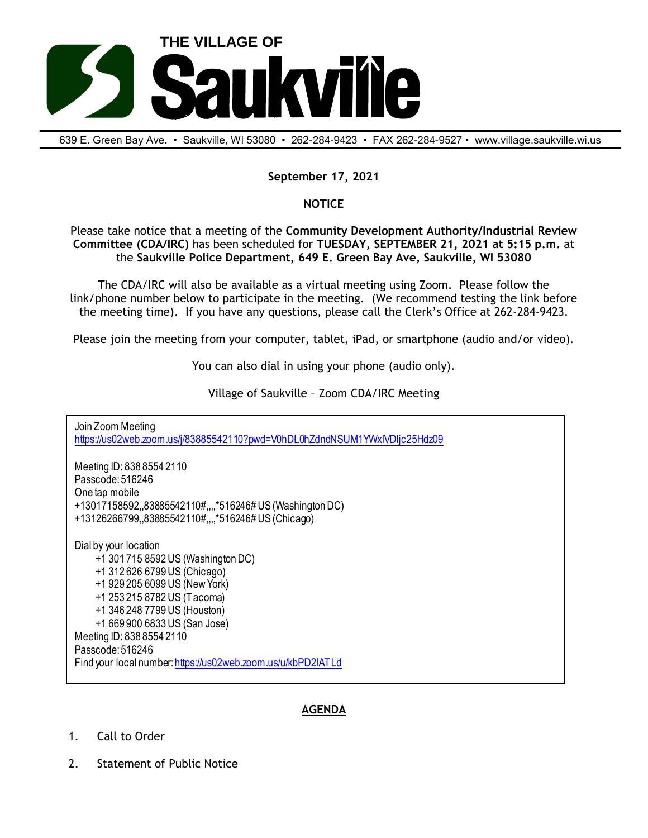

639 E. Green Bay Ave. • Saukville, Wl 53080 • 262-284-9423 • FAX 262-284-9527 • www.village.saukville.wi.us

## **September 17, 2021**

## **NOTICE**

Please take notice that a meeting of the **Community Development Authority/Industrial Review Committee (CDA/IRC)** has been scheduled for **TUESDAY, SEPTEMBER 21, 2021 at 5:15 p.m.** at the **Saukville Police Department, 649 E. Green Bay Ave, Saukville, WI 53080**

The CDA/IRC will also be available as a virtual meeting using Zoom. Please follow the link/phone number below to participate in the meeting. (We recommend testing the link before the meeting time). If you have any questions, please call the Clerk's Office at 262-284-9423.

Please join the meeting from your computer, tablet, iPad, or smartphone (audio and/or video).

You can also dial in using your phone (audio only).

Village of Saukville – Zoom CDA/IRC Meeting

Join Zoom Meeting https://us02web.zoom.us/j/83885542110?pwd=V0hDL0hZdndNSUM1YWxIVDljc25Hdz09 Meeting ID: 838 8554 2110 Passcode: 516246 One tap mobile +13017158592,,83885542110#,,,,\*516246# US (Washington DC) +13126266799,,83885542110#,,,,\*516246# US (Chicago) Dial by your location +1 301 715 8592 US (Washington DC) +1 312 626 6799 US (Chicago) +1 929 205 6099 US (New York) +1 253 215 8782 US (Tacoma) +1 346 248 7799 US (Houston) +1 669 900 6833 US (San Jose) Meeting ID: 838 8554 2110 Passcode: 516246 Find your local number: https://us02web.zoom.us/u/kbPD2IATLd

## **AGENDA**

- 1. Call to Order
- 2. Statement of Public Notice